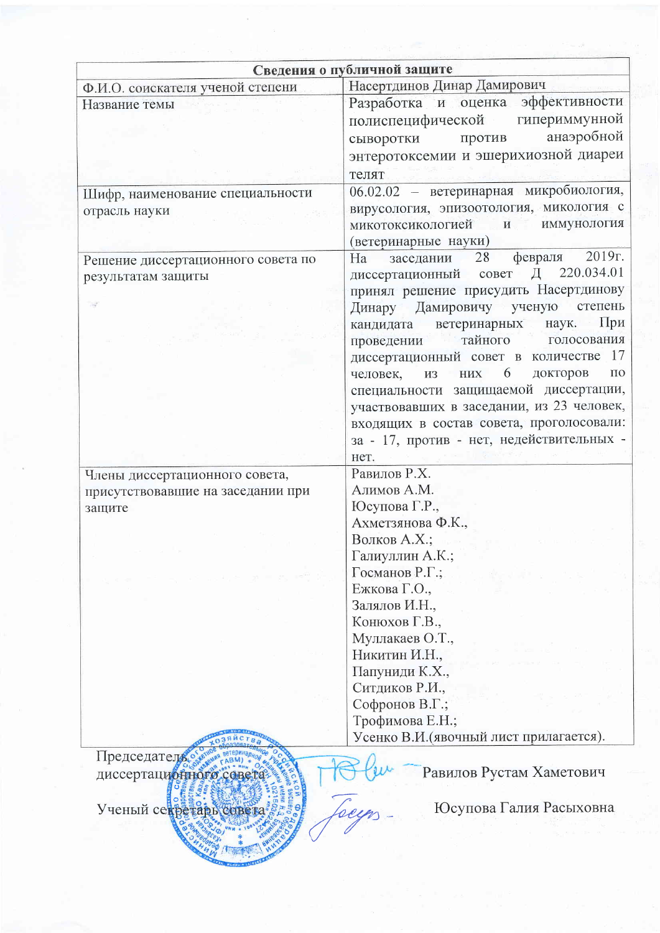| Сведения о публичной защите                                   |                                                                                                                                                                                                                                                                                                               |  |  |  |  |
|---------------------------------------------------------------|---------------------------------------------------------------------------------------------------------------------------------------------------------------------------------------------------------------------------------------------------------------------------------------------------------------|--|--|--|--|
| Ф.И.О. соискателя ученой степени                              | Насертдинов Динар Дамирович                                                                                                                                                                                                                                                                                   |  |  |  |  |
| Название темы                                                 | Разработка и оценка эффективности<br>полиспецифической гипериммунной<br>анаэробной<br>сыворотки<br>против<br>энтеротоксемии и эшерихиозной диареи<br>телят<br>06.02.02 - ветеринарная микробиология,<br>вирусология, эпизоотология, микология с<br>микотоксикологией и<br>ИММУНОЛОГИЯ<br>(ветеринарные науки) |  |  |  |  |
| Шифр, наименование специальности<br>отрасль науки             |                                                                                                                                                                                                                                                                                                               |  |  |  |  |
| Решение диссертационного совета по<br>результатам защиты      | $2019r$ .<br>февраля<br>заседании 28<br>Ha<br>диссертационный совет Д 220.034.01<br>принял решение присудить Насертдинову<br>Динару Дамировичу ученую<br>степень<br>При<br>кандидата ветеринарных наук.                                                                                                       |  |  |  |  |
|                                                               | тайного голосования<br>проведении<br>диссертационный совет в количестве 17                                                                                                                                                                                                                                    |  |  |  |  |
|                                                               | 6<br>докторов<br>$\Pi$ <sup>O</sup><br>человек,<br>$\rm{H} \rm{H} \rm{X}$<br><b>ИЗ</b><br>специальности защищаемой диссертации,<br>участвовавших в заседании, из 23 человек,<br>входящих в состав совета, проголосовали:<br>за - 17, против - нет, недействительных -<br>HeT.                                 |  |  |  |  |
| Члены диссертационного совета,                                | Равилов Р.Х.                                                                                                                                                                                                                                                                                                  |  |  |  |  |
| присутствовавшие на заседании при                             | Алимов А.М.                                                                                                                                                                                                                                                                                                   |  |  |  |  |
| защите                                                        | Юсупова Г.Р.,                                                                                                                                                                                                                                                                                                 |  |  |  |  |
|                                                               | Ахметзянова Ф.К.,                                                                                                                                                                                                                                                                                             |  |  |  |  |
|                                                               | Волков А.Х.;                                                                                                                                                                                                                                                                                                  |  |  |  |  |
|                                                               | Галиуллин А.К.;                                                                                                                                                                                                                                                                                               |  |  |  |  |
|                                                               | Госманов Р.Г.;                                                                                                                                                                                                                                                                                                |  |  |  |  |
|                                                               | Ежкова Г.О.,                                                                                                                                                                                                                                                                                                  |  |  |  |  |
|                                                               | Залялов И.Н.,<br>Конюхов Г.В.,                                                                                                                                                                                                                                                                                |  |  |  |  |
|                                                               | Муллакаев О.Т.,                                                                                                                                                                                                                                                                                               |  |  |  |  |
|                                                               | Никитин И.Н.,                                                                                                                                                                                                                                                                                                 |  |  |  |  |
|                                                               | Папуниди К.Х.,                                                                                                                                                                                                                                                                                                |  |  |  |  |
|                                                               | Ситдиков Р.И.,                                                                                                                                                                                                                                                                                                |  |  |  |  |
|                                                               | Софронов В.Г.;                                                                                                                                                                                                                                                                                                |  |  |  |  |
|                                                               | Трофимова Е.Н.;                                                                                                                                                                                                                                                                                               |  |  |  |  |
|                                                               | Усенко В.И. (явочный лист прилагается).                                                                                                                                                                                                                                                                       |  |  |  |  |
| Председатель<br>диссертационного сове<br>Ученый секретарь сов | Равилов Рустам Хаметович<br>Юсупова Галия Расыховна                                                                                                                                                                                                                                                           |  |  |  |  |